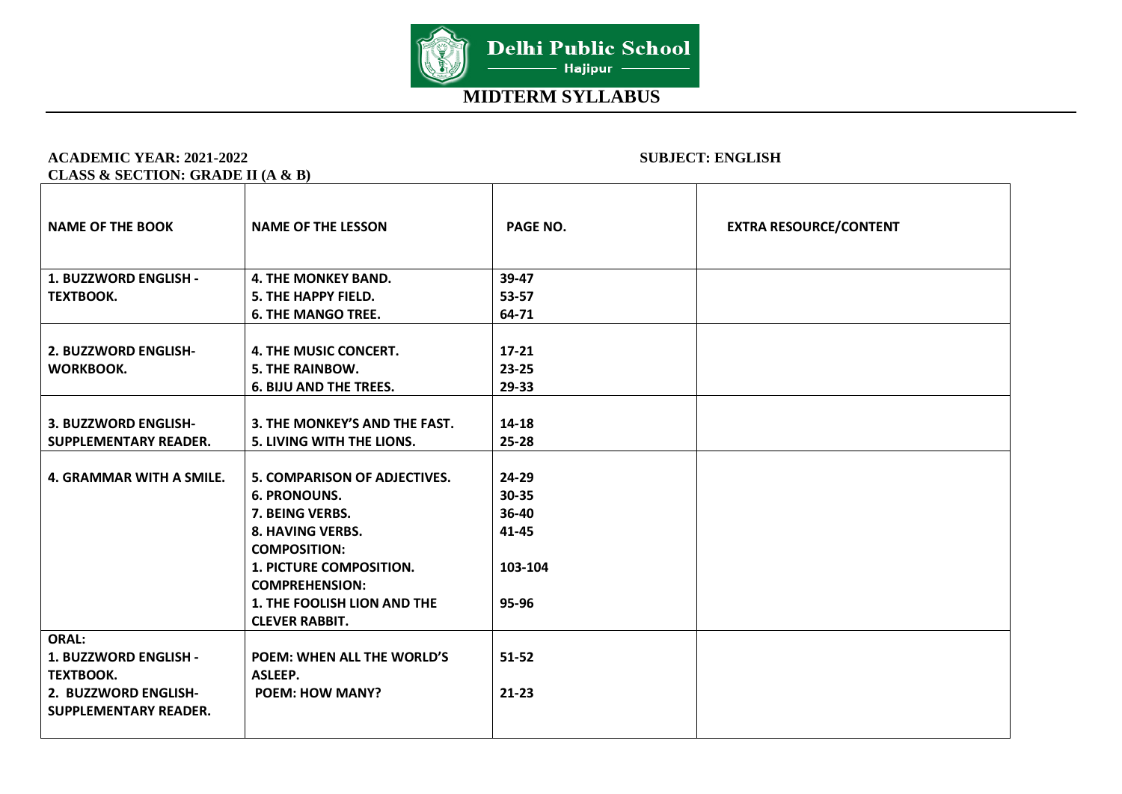

#### **ACADEMIC YEAR: 2021-2022 SUBJECT: ENGLISH CLASS & SECTION: GRADE II (A & B)**

#### NAME OF THE BOOK NAME OF THE LESSON **PAGE NO.** PAGE NO. **EXTRA RESOURCE/CONTENT 1. BUZZWORD ENGLISH - TEXTBOOK. 4. THE MONKEY BAND. 5. THE HAPPY FIELD. 6. THE MANGO TREE. 39-47 53-57 64-71 2. BUZZWORD ENGLISH-WORKBOOK. 4. THE MUSIC CONCERT. 5. THE RAINBOW. 6. BIJU AND THE TREES. 17-21 23-25 29-33 3. BUZZWORD ENGLISH-SUPPLEMENTARY READER. 3. THE MONKEY'S AND THE FAST. 5. LIVING WITH THE LIONS. 14-18 25-28 4. GRAMMAR WITH A SMILE. 5. COMPARISON OF ADJECTIVES. 6. PRONOUNS. 7. BEING VERBS. 8. HAVING VERBS. COMPOSITION: 1. PICTURE COMPOSITION. COMPREHENSION: 1. THE FOOLISH LION AND THE CLEVER RABBIT. 24-29 30-35 36-40 41-45 103-104 95-96 ORAL: 1. BUZZWORD ENGLISH - TEXTBOOK. 2. BUZZWORD ENGLISH-SUPPLEMENTARY READER. POEM: WHEN ALL THE WORLD'S ASLEEP. POEM: HOW MANY? 51-52 21-23**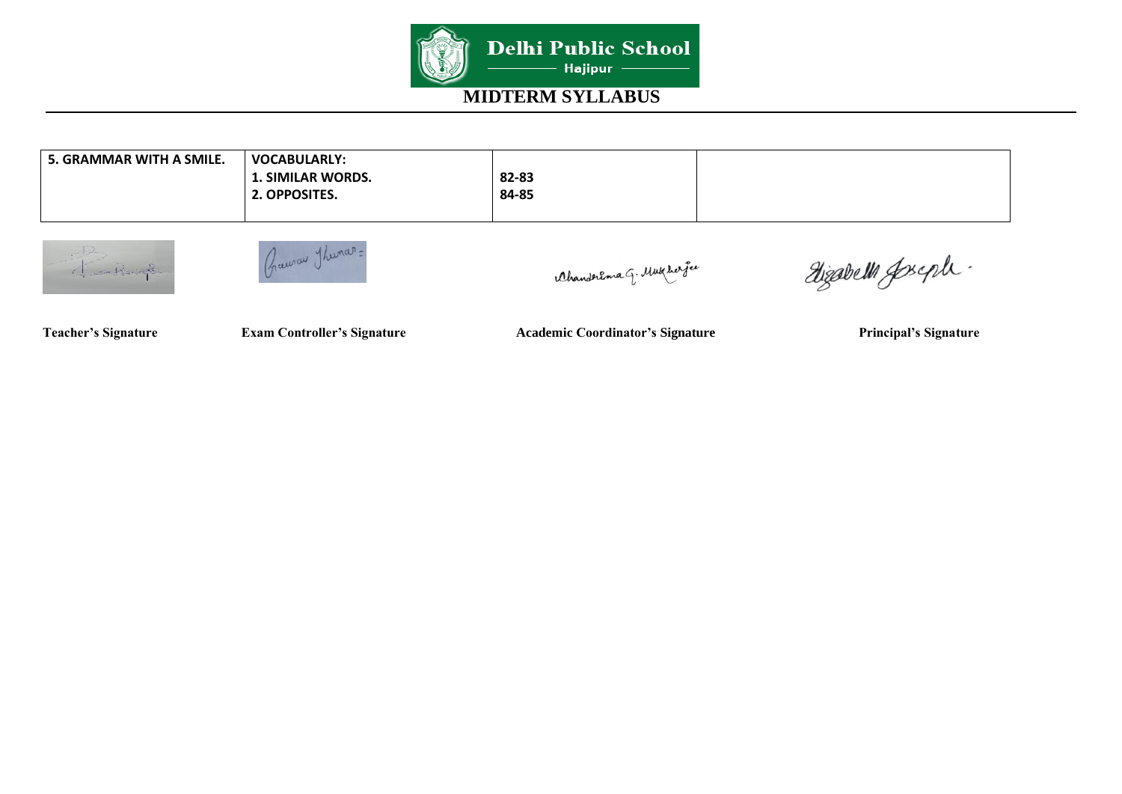

| 5. GRAMMAR WITH A SMILE. | <b>VOCABULARLY:</b>      |       |  |
|--------------------------|--------------------------|-------|--|
|                          | <b>1. SIMILAR WORDS.</b> | 82-83 |  |
|                          | 2. OPPOSITES.            | 84-85 |  |
|                          |                          |       |  |





Ahanderema G. Mukher fee

Dizabelli Joseph.

**Teacher's Signature Exam Controller's Signature Academic Coordinator's Signature Principal's Signature**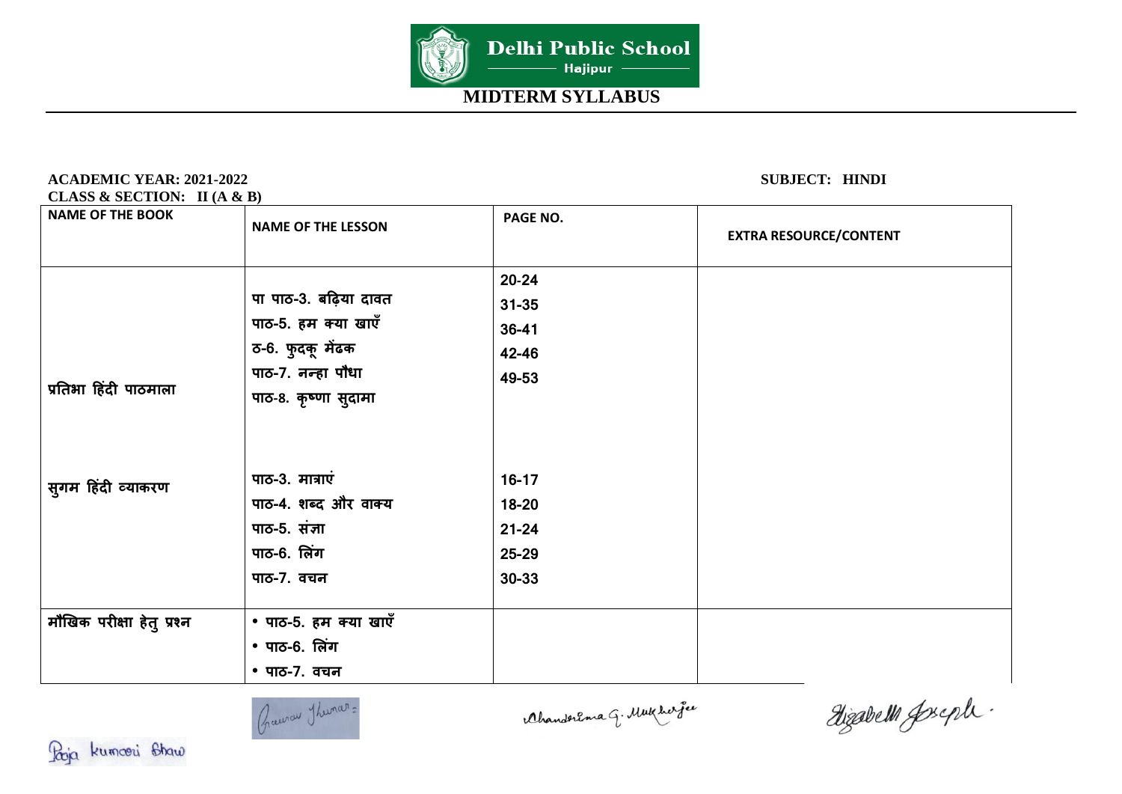

### **ACADEMIC YEAR: 2021-2022 SUBJECT: HINDI**

**CLASS & SECTION: II (A & B)** 

| <b>NAME OF THE BOOK</b>   | <b>NAME OF THE LESSON</b>                                                             | PAGE NO.                                                | <b>EXTRA RESOURCE/CONTENT</b> |
|---------------------------|---------------------------------------------------------------------------------------|---------------------------------------------------------|-------------------------------|
|                           | पा पाठ-3. बढ़िया दावत<br>पाठ-5. हम क्या खाएँ<br>ठ-6. फुदकू मेंढक                      | $20 - 24$<br>$31 - 35$<br>$36 - 41$                     |                               |
| प्रतिभा हिंदी पाठमाला     | पाठ-7. नन्हा पौधा<br>पाठ-8. कृष्णा सुदामा                                             | 42-46<br>49-53                                          |                               |
| सुगम हिंदी व्याकरण        | पाठ-3. मात्राएं<br>पाठ-4. शब्द और वाक्य<br>पाठ-5. संज्ञा<br>पाठ-6. लिंग<br>पाठ-7. वचन | $16-17$<br>18-20<br>$21 - 24$<br>$25 - 29$<br>$30 - 33$ |                               |
| मौखिक परीक्षा हेतु प्रश्न | • पाठ-5. हम क्या खाएँ<br>• पाठ-6. लिंग<br>• पाठ-7. वचन                                |                                                         |                               |



Ahanderema G. Mukhar je

digabelli goseph.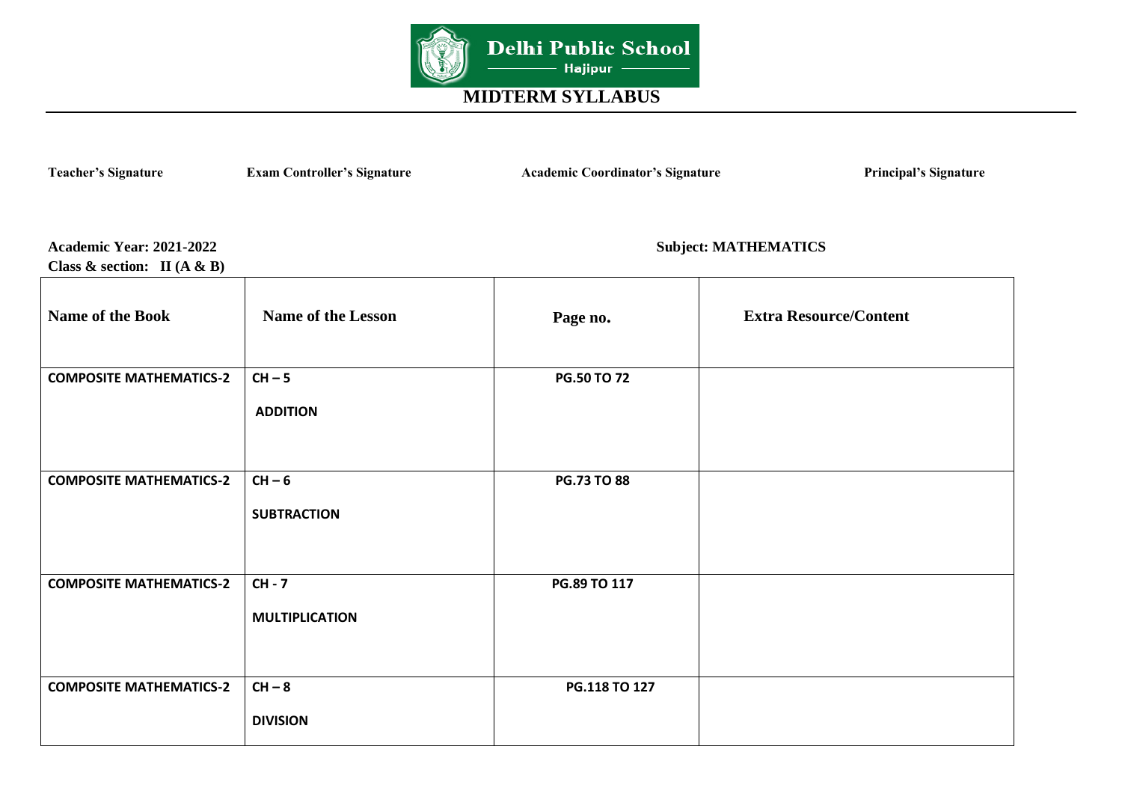

Teacher's Signature **Exam Controller's Signature** Academic Coordinator's Signature Principal's Signature

**Class & section: II (A & B)** 

**Academic Year: 2021-2022 Subject: MATHEMATICS** 

| <b>Name of the Book</b>        | <b>Name of the Lesson</b>         | Page no.           | <b>Extra Resource/Content</b> |
|--------------------------------|-----------------------------------|--------------------|-------------------------------|
| <b>COMPOSITE MATHEMATICS-2</b> | $CH - 5$<br><b>ADDITION</b>       | <b>PG.50 TO 72</b> |                               |
| <b>COMPOSITE MATHEMATICS-2</b> | $CH - 6$<br><b>SUBTRACTION</b>    | <b>PG.73 TO 88</b> |                               |
| <b>COMPOSITE MATHEMATICS-2</b> | $CH - 7$<br><b>MULTIPLICATION</b> | PG.89 TO 117       |                               |
| <b>COMPOSITE MATHEMATICS-2</b> | $CH - 8$<br><b>DIVISION</b>       | PG.118 TO 127      |                               |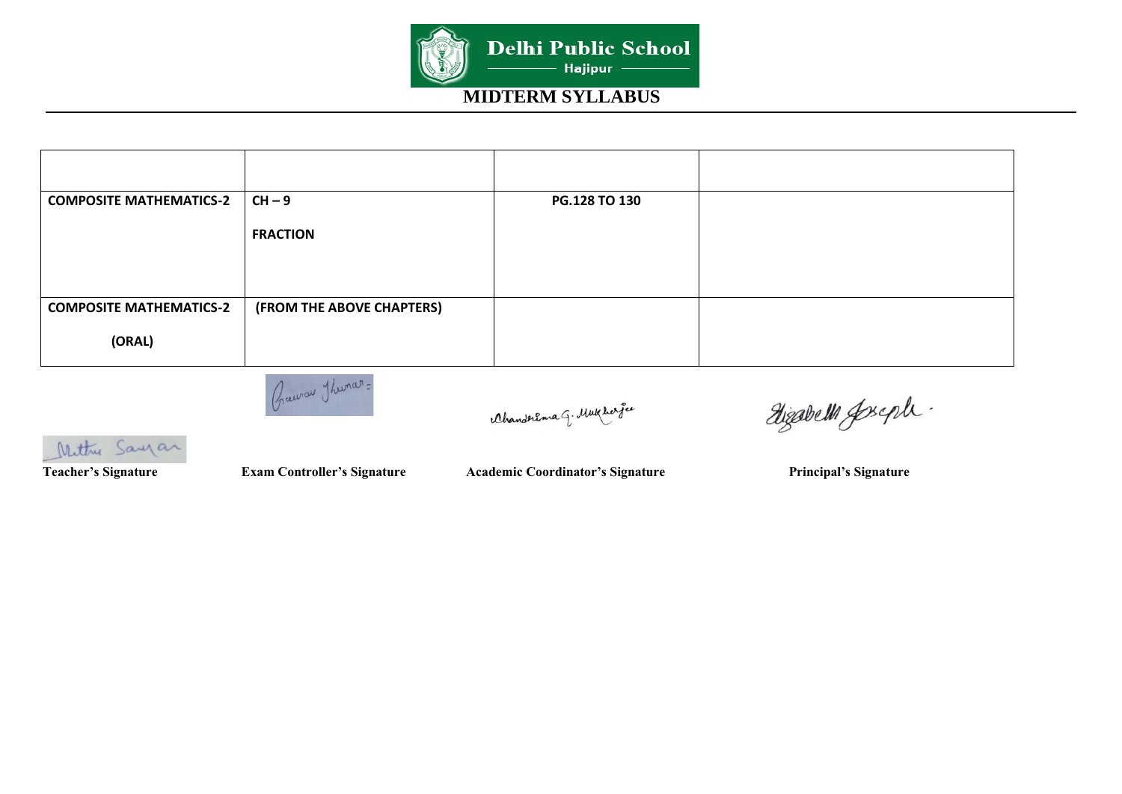

| <b>COMPOSITE MATHEMATICS-2</b> | $CH - 9$                  | PG.128 TO 130 |  |
|--------------------------------|---------------------------|---------------|--|
|                                | <b>FRACTION</b>           |               |  |
|                                |                           |               |  |
| <b>COMPOSITE MATHEMATICS-2</b> | (FROM THE ABOVE CHAPTERS) |               |  |
| (ORAL)                         |                           |               |  |



AhanderEma G. Mukhar gee

Dizabelli Joseph.

 Mittre Sayar

Teacher's Signature **Exam Controller's Signature** Academic Coordinator's Signature Principal's Signature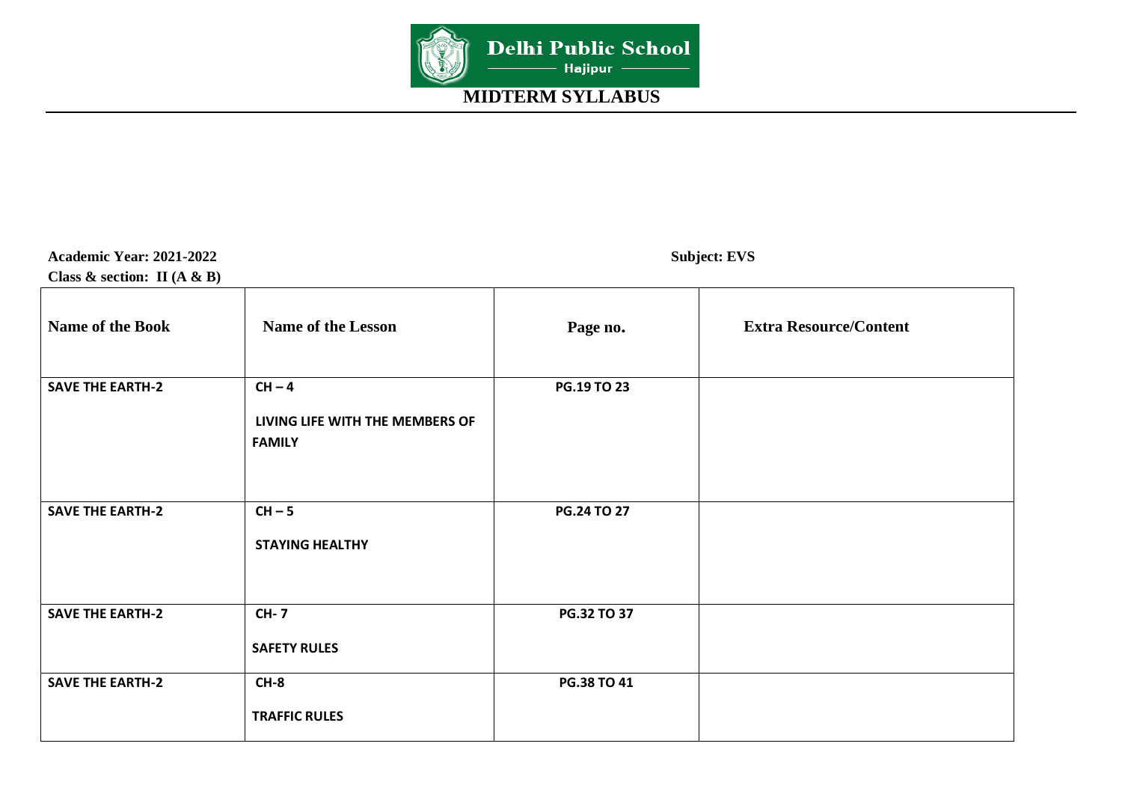

**Academic Year: 2021-2022 Subject: EVS Class & section: II (A & B)** 

| Name of the Book        | <b>Name of the Lesson</b>                                    | Page no.    | <b>Extra Resource/Content</b> |
|-------------------------|--------------------------------------------------------------|-------------|-------------------------------|
| <b>SAVE THE EARTH-2</b> | $CH - 4$<br>LIVING LIFE WITH THE MEMBERS OF<br><b>FAMILY</b> | PG.19 TO 23 |                               |
| <b>SAVE THE EARTH-2</b> | $CH - 5$<br><b>STAYING HEALTHY</b>                           | PG.24 TO 27 |                               |
| <b>SAVE THE EARTH-2</b> | <b>CH-7</b><br><b>SAFETY RULES</b>                           | PG.32 TO 37 |                               |
| <b>SAVE THE EARTH-2</b> | $CH-8$<br><b>TRAFFIC RULES</b>                               | PG.38 TO 41 |                               |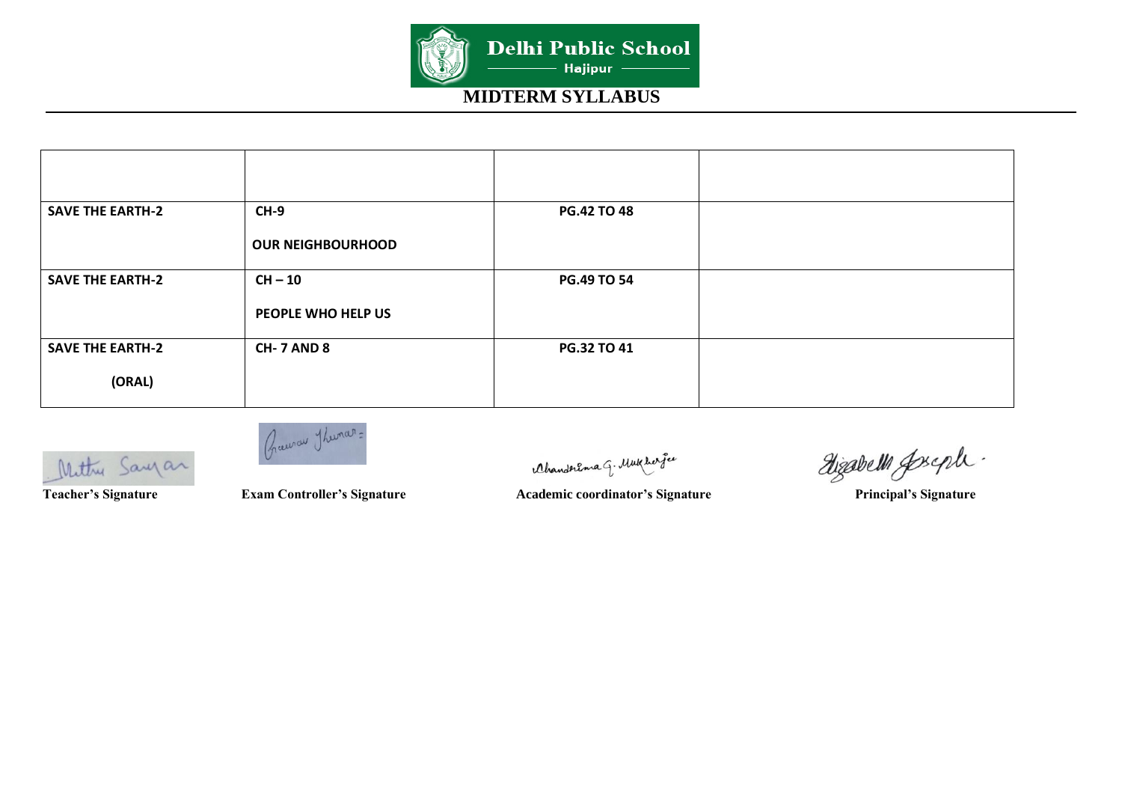

| <b>SAVE THE EARTH-2</b> | $CH-9$                   | <b>PG.42 TO 48</b> |  |
|-------------------------|--------------------------|--------------------|--|
|                         | <b>OUR NEIGHBOURHOOD</b> |                    |  |
| <b>SAVE THE EARTH-2</b> | $CH - 10$                | <b>PG.49 TO 54</b> |  |
|                         | PEOPLE WHO HELP US       |                    |  |
| <b>SAVE THE EARTH-2</b> | <b>CH-7 AND 8</b>        | PG.32 TO 41        |  |
| (ORAL)                  |                          |                    |  |

Mittre Sayan

Graenow Thuman:

Ahanderema G. Mukherfee

Mettry Saugar Cam Controller's Signature Academic coordinator's Signature Principal's Signature Principal's Signature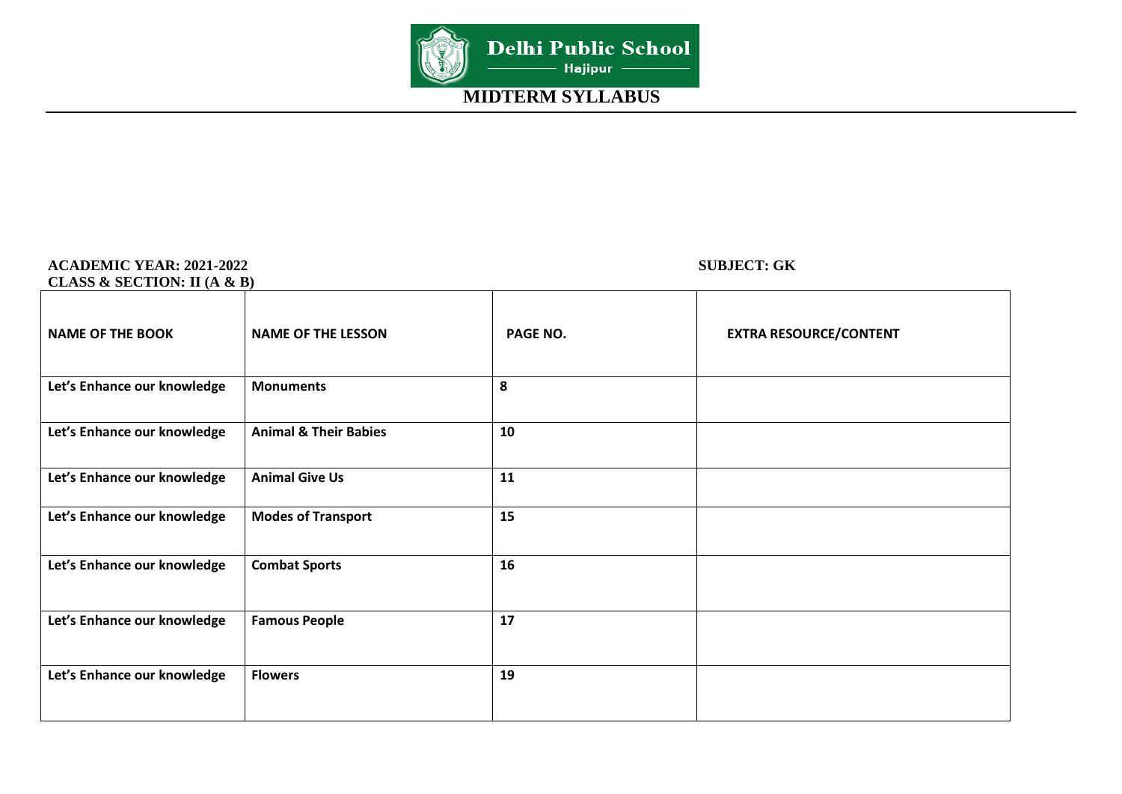

#### **ACADEMIC YEAR: 2021-2022 SUBJECT: GK CLASS & SECTION: II (A & B)**

| CLAD3 & SELIIURI: II (A & D) |                                  |          |                               |
|------------------------------|----------------------------------|----------|-------------------------------|
| <b>NAME OF THE BOOK</b>      | <b>NAME OF THE LESSON</b>        | PAGE NO. | <b>EXTRA RESOURCE/CONTENT</b> |
| Let's Enhance our knowledge  | <b>Monuments</b>                 | 8        |                               |
| Let's Enhance our knowledge  | <b>Animal &amp; Their Babies</b> | 10       |                               |
| Let's Enhance our knowledge  | <b>Animal Give Us</b>            | 11       |                               |
| Let's Enhance our knowledge  | <b>Modes of Transport</b>        | 15       |                               |
| Let's Enhance our knowledge  | <b>Combat Sports</b>             | 16       |                               |
| Let's Enhance our knowledge  | <b>Famous People</b>             | 17       |                               |
| Let's Enhance our knowledge  | <b>Flowers</b>                   | 19       |                               |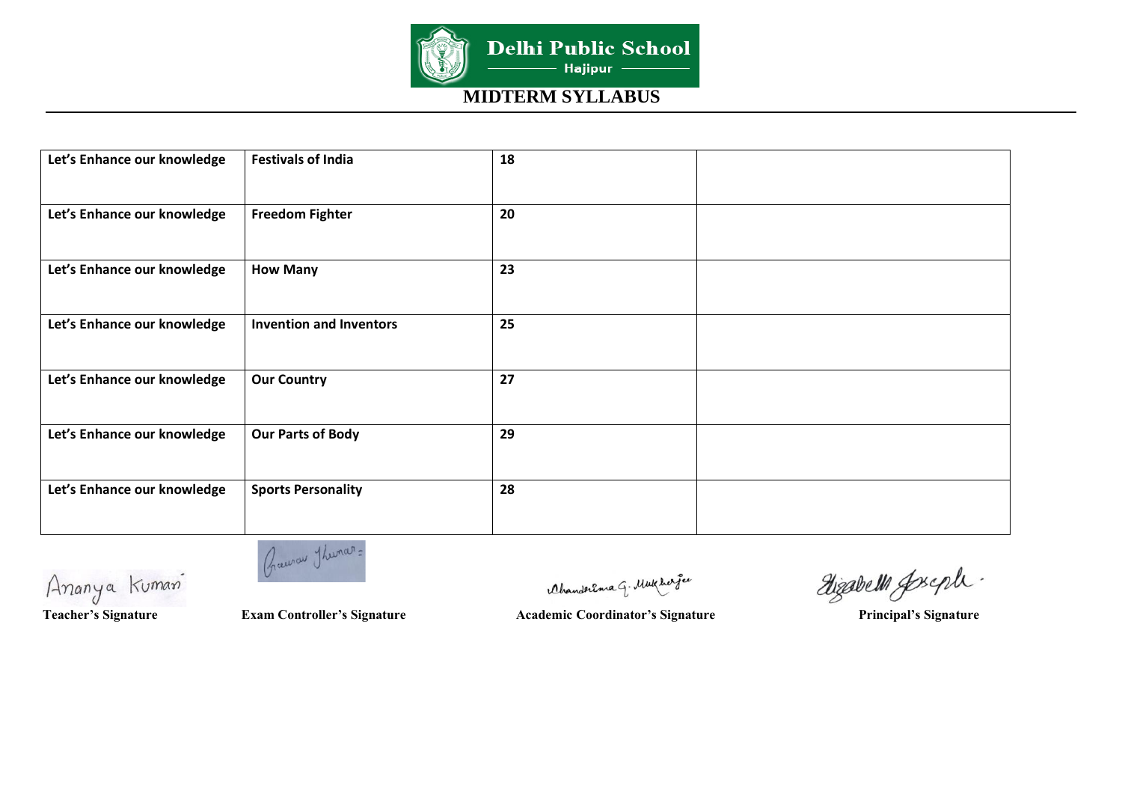

| Let's Enhance our knowledge | <b>Festivals of India</b>      | 18 |  |
|-----------------------------|--------------------------------|----|--|
| Let's Enhance our knowledge | <b>Freedom Fighter</b>         | 20 |  |
| Let's Enhance our knowledge | <b>How Many</b>                | 23 |  |
| Let's Enhance our knowledge | <b>Invention and Inventors</b> | 25 |  |
| Let's Enhance our knowledge | <b>Our Country</b>             | 27 |  |
| Let's Enhance our knowledge | <b>Our Parts of Body</b>       | 29 |  |
| Let's Enhance our knowledge | <b>Sports Personality</b>      | 28 |  |
|                             |                                |    |  |

Ananya Kuman

Crawau Thurar=

Ahanderema G. Mukhar fee

dizabelli goseph.

Teacher's Signature **Exam Controller's Signature** Academic Coordinator's Signature Principal's Signature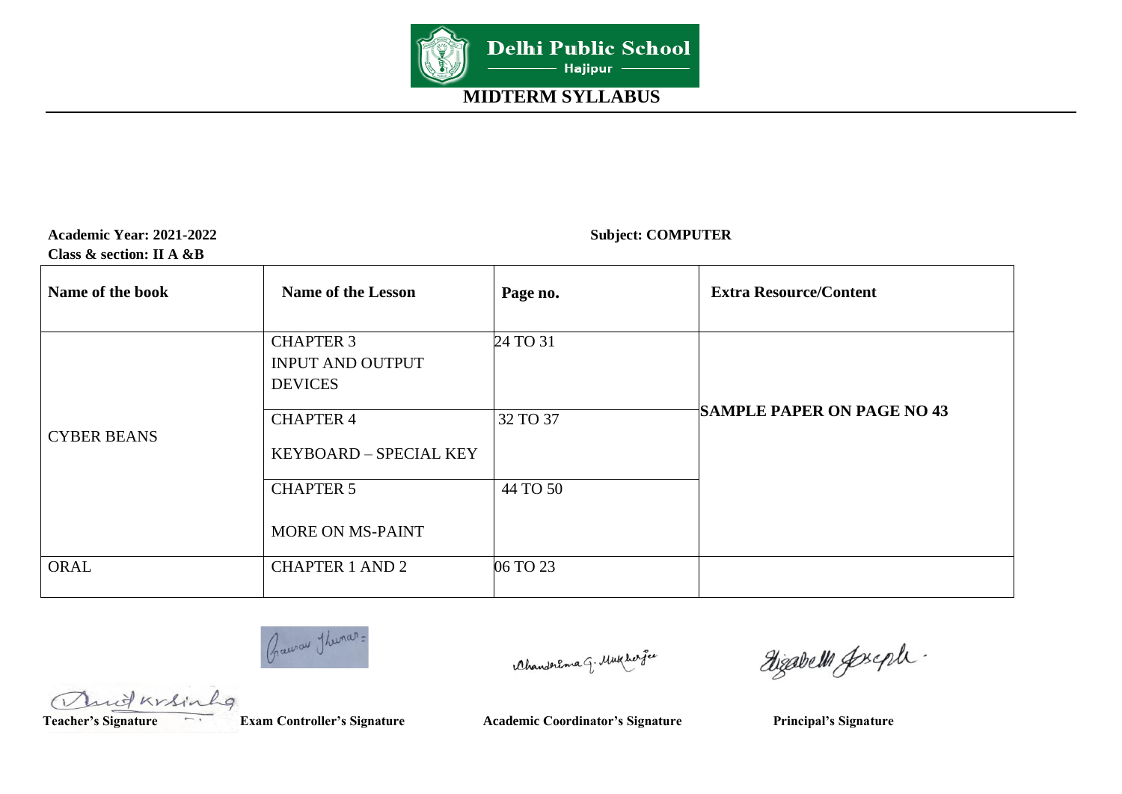

| <b>Academic Year: 2021-2022</b> |  |
|---------------------------------|--|
| Class $\&$ section: II A $\&$ B |  |

**Subject: COMPUTER** 

| Name of the book   | <b>Name of the Lesson</b>                                     | Page no. | <b>Extra Resource/Content</b>     |
|--------------------|---------------------------------------------------------------|----------|-----------------------------------|
|                    | <b>CHAPTER 3</b><br><b>INPUT AND OUTPUT</b><br><b>DEVICES</b> | 24 TO 31 |                                   |
| <b>CYBER BEANS</b> | <b>CHAPTER 4</b><br>KEYBOARD - SPECIAL KEY                    | 32 TO 37 | <b>SAMPLE PAPER ON PAGE NO 43</b> |
|                    | <b>CHAPTER 5</b><br><b>MORE ON MS-PAINT</b>                   | 44 TO 50 |                                   |
| ORAL               | <b>CHAPTER 1 AND 2</b>                                        | 06 TO 23 |                                   |

Crawau Thumar=

Ahanderema G. Mukhar fee

dizabelli Joseph.

Muit Krsinh  $L_{q}$ 

Teacher's Signature **Exam Controller's Signature** Academic Coordinator's Signature Principal's Signature